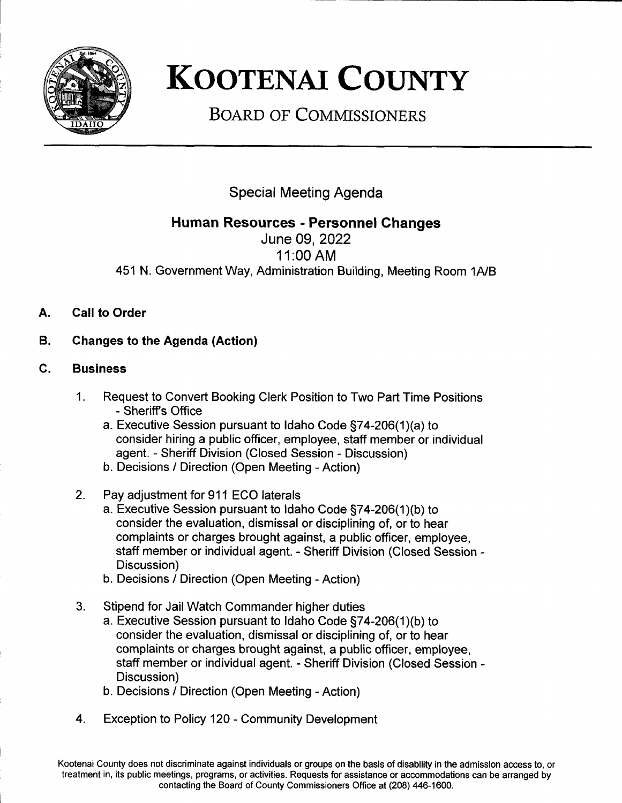

## **KOOTENAI COUNTY**

**BOARD OF COMMISSIONERS** 

Special Meeting Agenda

## Human Resources - Personnel Changes

June 09,2022 <sup>1</sup>1:00 AM 451 N. Government Way, Administration Building, Meeting Room 1A/B

- A. Call to Order
- B. Changes to the Agenda (Action)
- c. Business
	- Request to Convert Booking Clerk Position to Two Part Time Positions - Sheriffs Office 1
		- a. Executive Session pursuant to ldaho Code 574-206(1)(a) to consider hiring a public officer, employee, staff member or individual agent. - Sheriff Division (Closed Session - Discussion)
		- b. Decisions / Direction (Open Meeting Action)
	- Pay adjustment for 911 ECO laterals 2
		- a. Executive Session pursuant to Idaho Code §74-206(1)(b) to consider the evaluation, dismissal or disciplining of, or to hear complaints or charges brought against, a public officer, employee, staff member or individual agent. - Sheriff Division (Closed Session - Discussion)
		- b. Decisions / Direction (Open Meeting Action)
	- Stipend for JailWatch Commander higher duties 3
		- a. Executive Session pursuant to ldaho Code 574-206(1)(b) to consider the evaluation, dismissal or disciplining of, or to hear complaints or charges brought against, a public officer, employee, staff member or individual agent. - Sheriff Division (Closed Session - Discussion)
		- b. Decisions / Direction (Open Meeting Action)
	- 4. Exception to Policy 120 Community Development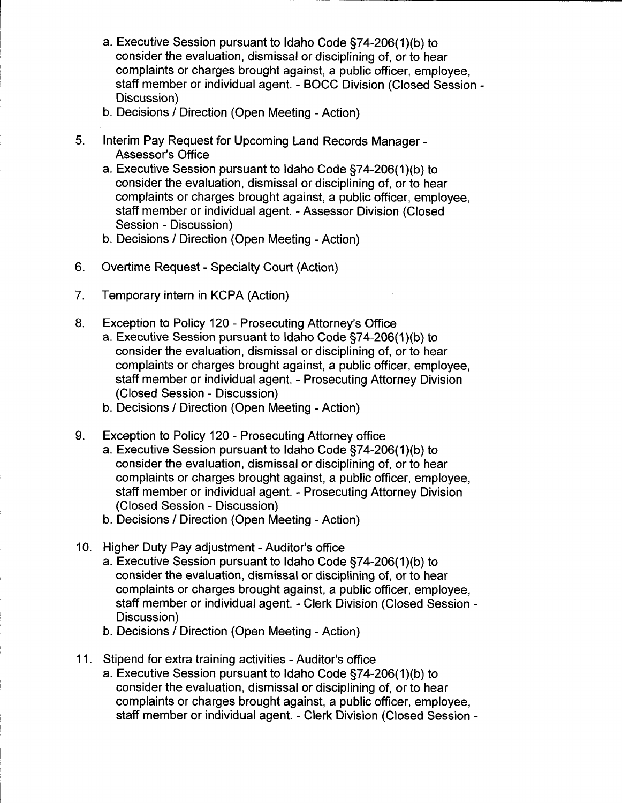- a. Executive Session pursuant to ldaho Code 574-206(1)(b) to consider the evaluation, dismissal or disciplining of, or to hear complaints or charges brought against, a public officer, employee, staff member or individual agent. - BOCC Division (Closed Session - Discussion)
- b. Decisions / Direction (Open Meeting Action)
- 5 Interim Pay Request for Upcoming Land Records Manager -Assessor's Office
	- a. Executive Session pursuant to Idaho Code §74-206(1)(b) to consider the evaluation, dismissal or disciplining of, or to hear complaints or charges brought against, a public officer, employee, staff member or individual agent. - Assessor Division (Closed Session - Discussion)
	- b. Decisions / Direction (Open Meeting Action)
- Overtime Request Specialty Court (Action) 6
- Temporary intern in KCPA (Action) 7
- Exception to Policy 120 Prosecuting Attorney's Office a. Executive Session pursuant to Idaho Code §74-206(1)(b) to consider the evaluation, dismissal or disciplining of, or to hear complaints or charges brought against, a public officer, employee, staff member or individual agent. - Prosecuting Attorney Division (Closed Session - Discussion) 8
	- b. Decisions / Direction (Open Meeting Action)
- Exception to Policy 120 Prosecuting Attorney office  $9<sub>1</sub>$ 
	- a. Executive Session pursuant to Idaho Code §74-206(1)(b) to consider the evaluation, dismissal or disciplining of, or to hear complaints or charges brought against, a public officer, employee, staff member or individual agent. - Prosecuting Attorney Division (Closed Session - Discussion)
	- b. Decisions / Direction (Open Meeting Action)
- 10. Higher Duty Pay adjustment Auditor's office
	- a. Executive Session pursuant to ldaho Code 574-206(1)(b) to consider the evaluation, dismissal or disciplining of, or to hear complaints or charges brought against, a public officer, employee, staff member or individual agent. - Clerk Division (Closed Session - Discussion)
	- b. Decisions / Direction (Open Meeting Action)
- 11. Stipend for extra training activities Auditor's office
	- a. Executive Session pursuant to ldaho Code 574-206(1)(b) to consider the evaluation, dismissal or disciplining of, or to hear complaints or charges brought against, a public officer, employee, staff member or individual agent. - Clerk Division (Closed Session -